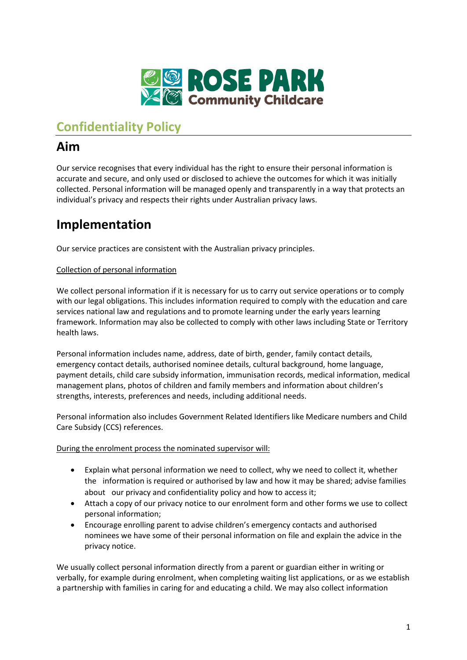

# **Confidentiality Policy**

# **Aim**

Our service recognises that every individual has the right to ensure their personal information is accurate and secure, and only used or disclosed to achieve the outcomes for which it was initially collected. Personal information will be managed openly and transparently in a way that protects an individual's privacy and respects their rights under Australian privacy laws.

# **Implementation**

Our service practices are consistent with the Australian privacy principles.

### Collection of personal information

We collect personal information if it is necessary for us to carry out service operations or to comply with our legal obligations. This includes information required to comply with the education and care services national law and regulations and to promote learning under the early years learning framework. Information may also be collected to comply with other laws including State or Territory health laws.

Personal information includes name, address, date of birth, gender, family contact details, emergency contact details, authorised nominee details, cultural background, home language, payment details, child care subsidy information, immunisation records, medical information, medical management plans, photos of children and family members and information about children's strengths, interests, preferences and needs, including additional needs.

Personal information also includes Government Related Identifiers like Medicare numbers and Child Care Subsidy (CCS) references.

During the enrolment process the nominated supervisor will:

- Explain what personal information we need to collect, why we need to collect it, whether the information is required or authorised by law and how it may be shared; advise families about our privacy and confidentiality policy and how to access it;
- Attach a copy of our privacy notice to our enrolment form and other forms we use to collect personal information;
- Encourage enrolling parent to advise children's emergency contacts and authorised nominees we have some of their personal information on file and explain the advice in the privacy notice.

We usually collect personal information directly from a parent or guardian either in writing or verbally, for example during enrolment, when completing waiting list applications, or as we establish a partnership with families in caring for and educating a child. We may also collect information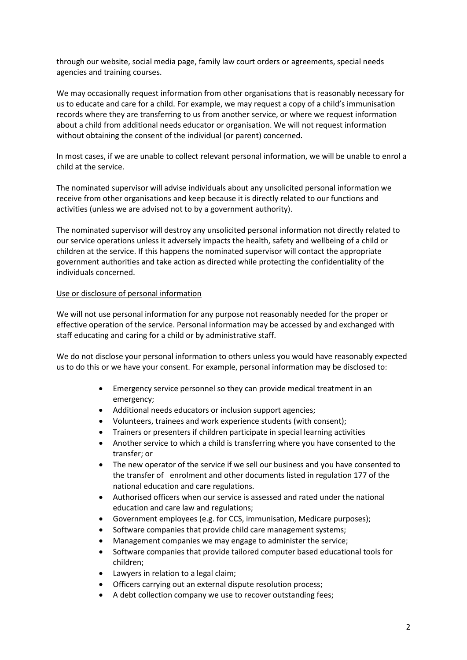through our website, social media page, family law court orders or agreements, special needs agencies and training courses.

We may occasionally request information from other organisations that is reasonably necessary for us to educate and care for a child. For example, we may request a copy of a child's immunisation records where they are transferring to us from another service, or where we request information about a child from additional needs educator or organisation. We will not request information without obtaining the consent of the individual (or parent) concerned.

In most cases, if we are unable to collect relevant personal information, we will be unable to enrol a child at the service.

The nominated supervisor will advise individuals about any unsolicited personal information we receive from other organisations and keep because it is directly related to our functions and activities (unless we are advised not to by a government authority).

The nominated supervisor will destroy any unsolicited personal information not directly related to our service operations unless it adversely impacts the health, safety and wellbeing of a child or children at the service. If this happens the nominated supervisor will contact the appropriate government authorities and take action as directed while protecting the confidentiality of the individuals concerned.

#### Use or disclosure of personal information

We will not use personal information for any purpose not reasonably needed for the proper or effective operation of the service. Personal information may be accessed by and exchanged with staff educating and caring for a child or by administrative staff.

We do not disclose your personal information to others unless you would have reasonably expected us to do this or we have your consent. For example, personal information may be disclosed to:

- Emergency service personnel so they can provide medical treatment in an emergency;
- Additional needs educators or inclusion support agencies;
- Volunteers, trainees and work experience students (with consent);
- Trainers or presenters if children participate in special learning activities
- Another service to which a child is transferring where you have consented to the transfer; or
- The new operator of the service if we sell our business and you have consented to the transfer of enrolment and other documents listed in regulation 177 of the national education and care regulations.
- Authorised officers when our service is assessed and rated under the national education and care law and regulations;
- Government employees (e.g. for CCS, immunisation, Medicare purposes);
- Software companies that provide child care management systems;
- Management companies we may engage to administer the service;
- Software companies that provide tailored computer based educational tools for children;
- Lawyers in relation to a legal claim;
- Officers carrying out an external dispute resolution process;
- A debt collection company we use to recover outstanding fees;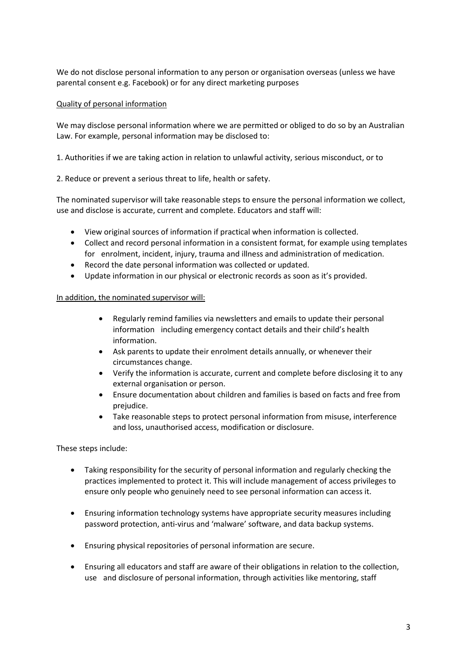We do not disclose personal information to any person or organisation overseas (unless we have parental consent e.g. Facebook) or for any direct marketing purposes

#### Quality of personal information

We may disclose personal information where we are permitted or obliged to do so by an Australian Law. For example, personal information may be disclosed to:

1. Authorities if we are taking action in relation to unlawful activity, serious misconduct, or to

2. Reduce or prevent a serious threat to life, health or safety.

The nominated supervisor will take reasonable steps to ensure the personal information we collect, use and disclose is accurate, current and complete. Educators and staff will:

- View original sources of information if practical when information is collected.
- Collect and record personal information in a consistent format, for example using templates for enrolment, incident, injury, trauma and illness and administration of medication.
- Record the date personal information was collected or updated.
- Update information in our physical or electronic records as soon as it's provided.

#### In addition, the nominated supervisor will:

- Regularly remind families via newsletters and emails to update their personal information including emergency contact details and their child's health information.
- Ask parents to update their enrolment details annually, or whenever their circumstances change.
- Verify the information is accurate, current and complete before disclosing it to any external organisation or person.
- Ensure documentation about children and families is based on facts and free from prejudice.
- Take reasonable steps to protect personal information from misuse, interference and loss, unauthorised access, modification or disclosure.

These steps include:

- Taking responsibility for the security of personal information and regularly checking the practices implemented to protect it. This will include management of access privileges to ensure only people who genuinely need to see personal information can access it.
- Ensuring information technology systems have appropriate security measures including password protection, anti-virus and 'malware' software, and data backup systems.
- Ensuring physical repositories of personal information are secure.
- Ensuring all educators and staff are aware of their obligations in relation to the collection, use and disclosure of personal information, through activities like mentoring, staff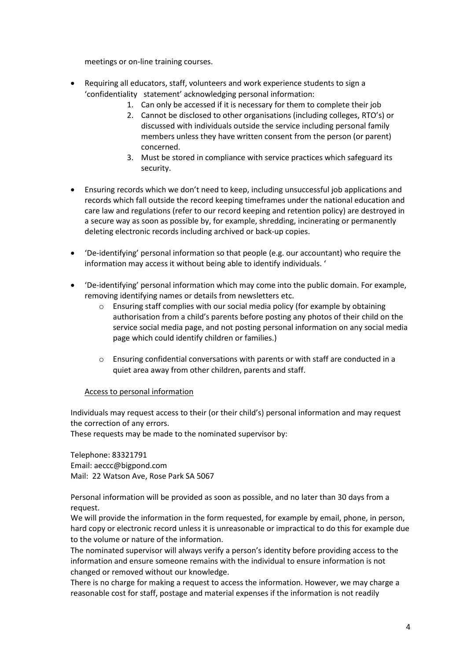meetings or on-line training courses.

- Requiring all educators, staff, volunteers and work experience students to sign a 'confidentiality statement' acknowledging personal information:
	- 1. Can only be accessed if it is necessary for them to complete their job
	- 2. Cannot be disclosed to other organisations (including colleges, RTO's) or discussed with individuals outside the service including personal family members unless they have written consent from the person (or parent) concerned.
	- 3. Must be stored in compliance with service practices which safeguard its security.
- Ensuring records which we don't need to keep, including unsuccessful job applications and records which fall outside the record keeping timeframes under the national education and care law and regulations (refer to our record keeping and retention policy) are destroyed in a secure way as soon as possible by, for example, shredding, incinerating or permanently deleting electronic records including archived or back-up copies.
- 'De-identifying' personal information so that people (e.g. our accountant) who require the information may access it without being able to identify individuals. '
- 'De-identifying' personal information which may come into the public domain. For example, removing identifying names or details from newsletters etc.
	- o Ensuring staff complies with our social media policy (for example by obtaining authorisation from a child's parents before posting any photos of their child on the service social media page, and not posting personal information on any social media page which could identify children or families.)
	- o Ensuring confidential conversations with parents or with staff are conducted in a quiet area away from other children, parents and staff.

### Access to personal information

Individuals may request access to their (or their child's) personal information and may request the correction of any errors.

These requests may be made to the nominated supervisor by:

Telephone: 83321791 Email: aeccc@bigpond.com Mail: 22 Watson Ave, Rose Park SA 5067

Personal information will be provided as soon as possible, and no later than 30 days from a request.

We will provide the information in the form requested, for example by email, phone, in person, hard copy or electronic record unless it is unreasonable or impractical to do this for example due to the volume or nature of the information.

The nominated supervisor will always verify a person's identity before providing access to the information and ensure someone remains with the individual to ensure information is not changed or removed without our knowledge.

There is no charge for making a request to access the information. However, we may charge a reasonable cost for staff, postage and material expenses if the information is not readily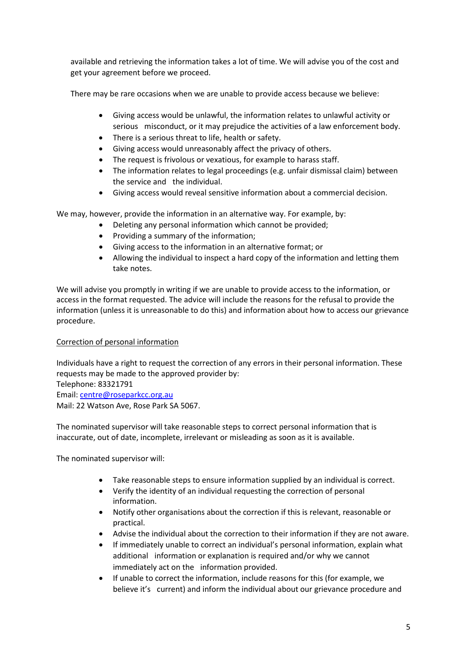available and retrieving the information takes a lot of time. We will advise you of the cost and get your agreement before we proceed.

There may be rare occasions when we are unable to provide access because we believe:

- Giving access would be unlawful, the information relates to unlawful activity or serious misconduct, or it may prejudice the activities of a law enforcement body.
- There is a serious threat to life, health or safety.
- Giving access would unreasonably affect the privacy of others.
- The request is frivolous or vexatious, for example to harass staff.
- The information relates to legal proceedings (e.g. unfair dismissal claim) between the service and the individual.
- Giving access would reveal sensitive information about a commercial decision.

We may, however, provide the information in an alternative way. For example, by:

- Deleting any personal information which cannot be provided;
- Providing a summary of the information;
- Giving access to the information in an alternative format; or
- Allowing the individual to inspect a hard copy of the information and letting them take notes.

We will advise you promptly in writing if we are unable to provide access to the information, or access in the format requested. The advice will include the reasons for the refusal to provide the information (unless it is unreasonable to do this) and information about how to access our grievance procedure.

### Correction of personal information

Individuals have a right to request the correction of any errors in their personal information. These requests may be made to the approved provider by: Telephone: 83321791 Email: [centre@roseparkcc.org.au](mailto:centre@roseparkcc.org.au) Mail: 22 Watson Ave, Rose Park SA 5067.

The nominated supervisor will take reasonable steps to correct personal information that is inaccurate, out of date, incomplete, irrelevant or misleading as soon as it is available.

The nominated supervisor will:

- Take reasonable steps to ensure information supplied by an individual is correct.
- Verify the identity of an individual requesting the correction of personal information.
- Notify other organisations about the correction if this is relevant, reasonable or practical.
- Advise the individual about the correction to their information if they are not aware.
- If immediately unable to correct an individual's personal information, explain what additional information or explanation is required and/or why we cannot immediately act on the information provided.
- If unable to correct the information, include reasons for this (for example, we believe it's current) and inform the individual about our grievance procedure and